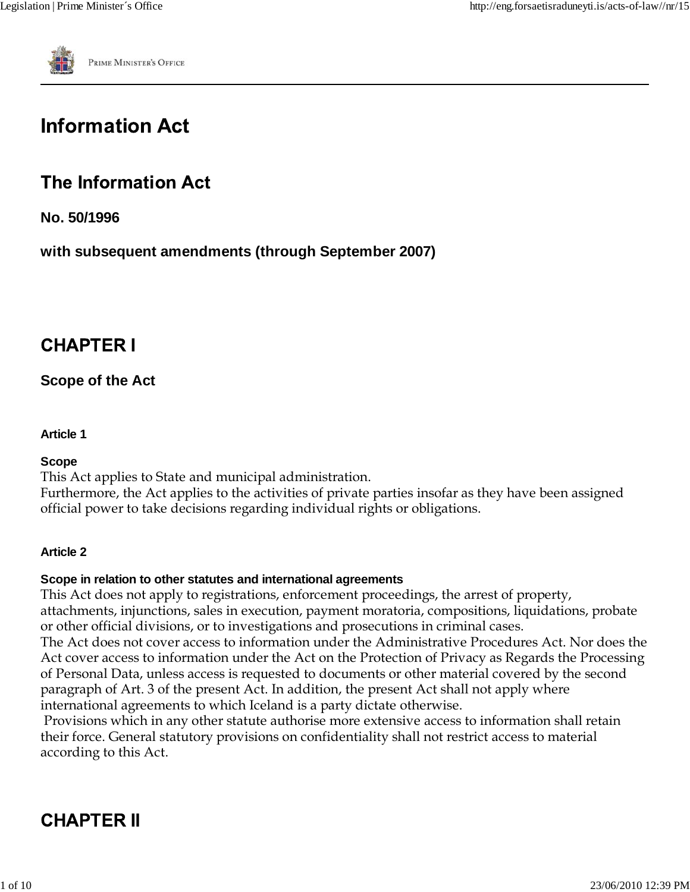

# **Information Act**

# **The Information Act**

**No. 50/1996**

**with subsequent amendments (through September 2007)**

# **CHAPTER I**

# **Scope of the Act**

### **Article 1**

#### **Scope**

This Act applies to State and municipal administration.

Furthermore, the Act applies to the activities of private parties insofar as they have been assigned official power to take decisions regarding individual rights or obligations.

## **Article 2**

## **Scope in relation to other statutes and international agreements**

This Act does not apply to registrations, enforcement proceedings, the arrest of property, attachments, injunctions, sales in execution, payment moratoria, compositions, liquidations, probate or other official divisions, or to investigations and prosecutions in criminal cases.

The Act does not cover access to information under the Administrative Procedures Act. Nor does the Act cover access to information under the Act on the Protection of Privacy as Regards the Processing of Personal Data, unless access is requested to documents or other material covered by the second paragraph of Art. 3 of the present Act. In addition, the present Act shall not apply where international agreements to which Iceland is a party dictate otherwise.

 Provisions which in any other statute authorise more extensive access to information shall retain their force. General statutory provisions on confidentiality shall not restrict access to material according to this Act.

# **CHAPTER II**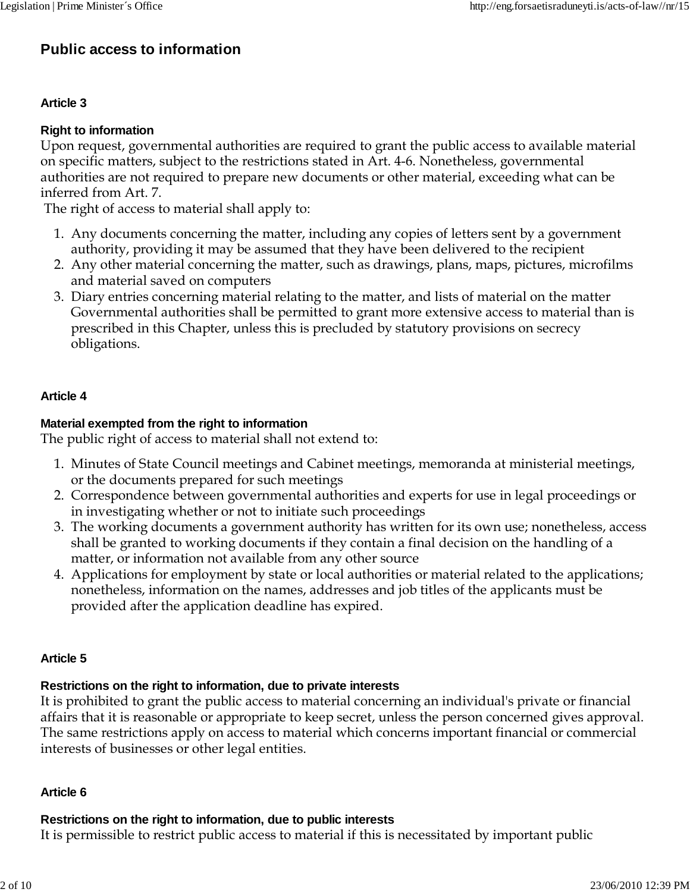# **Public access to information**

#### **Article 3**

#### **Right to information**

Upon request, governmental authorities are required to grant the public access to available material on specific matters, subject to the restrictions stated in Art. 4-6. Nonetheless, governmental authorities are not required to prepare new documents or other material, exceeding what can be inferred from Art. 7.

The right of access to material shall apply to:

- Any documents concerning the matter, including any copies of letters sent by a government 1. authority, providing it may be assumed that they have been delivered to the recipient
- Any other material concerning the matter, such as drawings, plans, maps, pictures, microfilms 2. and material saved on computers
- Diary entries concerning material relating to the matter, and lists of material on the matter 3. Governmental authorities shall be permitted to grant more extensive access to material than is prescribed in this Chapter, unless this is precluded by statutory provisions on secrecy obligations.

#### **Article 4**

#### **Material exempted from the right to information**

The public right of access to material shall not extend to:

- Minutes of State Council meetings and Cabinet meetings, memoranda at ministerial meetings, 1. or the documents prepared for such meetings
- Correspondence between governmental authorities and experts for use in legal proceedings or 2. in investigating whether or not to initiate such proceedings
- The working documents a government authority has written for its own use; nonetheless, access 3. shall be granted to working documents if they contain a final decision on the handling of a matter, or information not available from any other source
- Applications for employment by state or local authorities or material related to the applications; 4. nonetheless, information on the names, addresses and job titles of the applicants must be provided after the application deadline has expired.

#### **Article 5**

#### **Restrictions on the right to information, due to private interests**

It is prohibited to grant the public access to material concerning an individual's private or financial affairs that it is reasonable or appropriate to keep secret, unless the person concerned gives approval. The same restrictions apply on access to material which concerns important financial or commercial interests of businesses or other legal entities.

#### **Article 6**

#### **Restrictions on the right to information, due to public interests**

It is permissible to restrict public access to material if this is necessitated by important public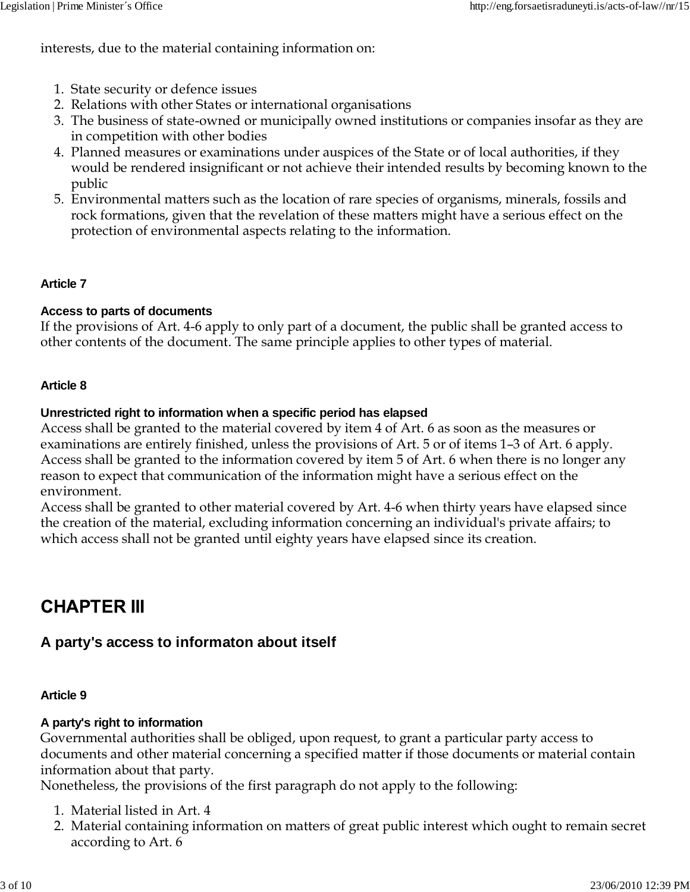interests, due to the material containing information on:

- 1. State security or defence issues
- 2. Relations with other States or international organisations
- The business of state-owned or municipally owned institutions or companies insofar as they are 3. in competition with other bodies
- Planned measures or examinations under auspices of the State or of local authorities, if they 4. would be rendered insignificant or not achieve their intended results by becoming known to the public
- Environmental matters such as the location of rare species of organisms, minerals, fossils and 5. rock formations, given that the revelation of these matters might have a serious effect on the protection of environmental aspects relating to the information.

### **Article 7**

#### **Access to parts of documents**

If the provisions of Art. 4-6 apply to only part of a document, the public shall be granted access to other contents of the document. The same principle applies to other types of material.

#### **Article 8**

#### **Unrestricted right to information when a specific period has elapsed**

Access shall be granted to the material covered by item 4 of Art. 6 as soon as the measures or examinations are entirely finished, unless the provisions of Art. 5 or of items 1–3 of Art. 6 apply. Access shall be granted to the information covered by item 5 of Art. 6 when there is no longer any reason to expect that communication of the information might have a serious effect on the environment.

Access shall be granted to other material covered by Art. 4-6 when thirty years have elapsed since the creation of the material, excluding information concerning an individual's private affairs; to which access shall not be granted until eighty years have elapsed since its creation.

# CHAPTER III

# **A party's access to informaton about itself**

#### **Article 9**

#### **A party's right to information**

Governmental authorities shall be obliged, upon request, to grant a particular party access to documents and other material concerning a specified matter if those documents or material contain information about that party.

Nonetheless, the provisions of the first paragraph do not apply to the following:

- 1. Material listed in Art. 4
- Material containing information on matters of great public interest which ought to remain secret 2. according to Art. 6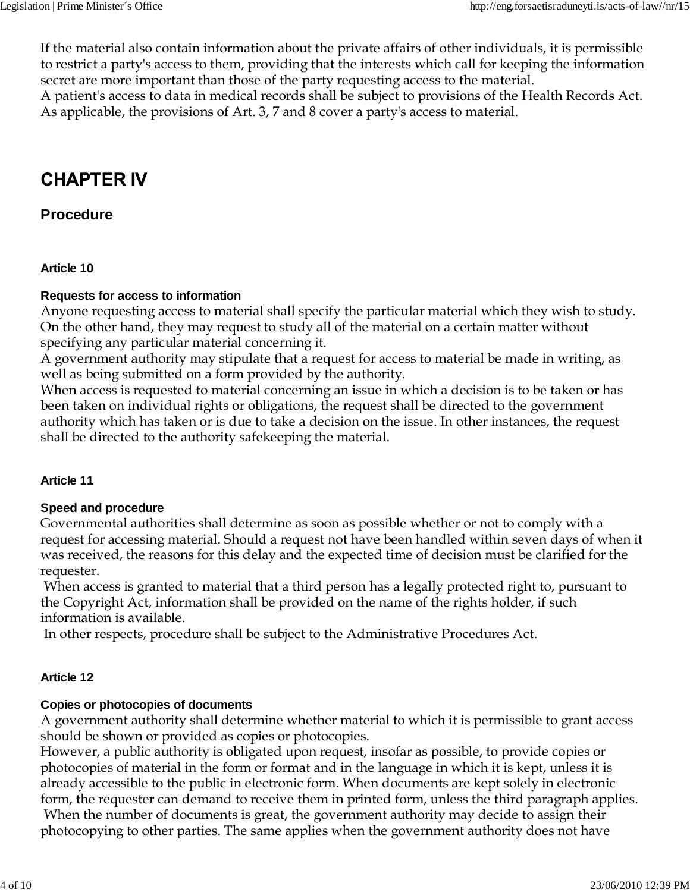If the material also contain information about the private affairs of other individuals, it is permissible to restrict a party's access to them, providing that the interests which call for keeping the information secret are more important than those of the party requesting access to the material. A patient's access to data in medical records shall be subject to provisions of the Health Records Act.

As applicable, the provisions of Art. 3, 7 and 8 cover a party's access to material.

# **CHAPTER IV**

# **Procedure**

#### **Article 10**

### **Requests for access to information**

Anyone requesting access to material shall specify the particular material which they wish to study. On the other hand, they may request to study all of the material on a certain matter without specifying any particular material concerning it.

A government authority may stipulate that a request for access to material be made in writing, as well as being submitted on a form provided by the authority.

When access is requested to material concerning an issue in which a decision is to be taken or has been taken on individual rights or obligations, the request shall be directed to the government authority which has taken or is due to take a decision on the issue. In other instances, the request shall be directed to the authority safekeeping the material.

#### **Article 11**

## **Speed and procedure**

Governmental authorities shall determine as soon as possible whether or not to comply with a request for accessing material. Should a request not have been handled within seven days of when it was received, the reasons for this delay and the expected time of decision must be clarified for the requester.

 When access is granted to material that a third person has a legally protected right to, pursuant to the Copyright Act, information shall be provided on the name of the rights holder, if such information is available.

In other respects, procedure shall be subject to the Administrative Procedures Act.

## **Article 12**

## **Copies or photocopies of documents**

A government authority shall determine whether material to which it is permissible to grant access should be shown or provided as copies or photocopies.

However, a public authority is obligated upon request, insofar as possible, to provide copies or photocopies of material in the form or format and in the language in which it is kept, unless it is already accessible to the public in electronic form. When documents are kept solely in electronic form, the requester can demand to receive them in printed form, unless the third paragraph applies. When the number of documents is great, the government authority may decide to assign their photocopying to other parties. The same applies when the government authority does not have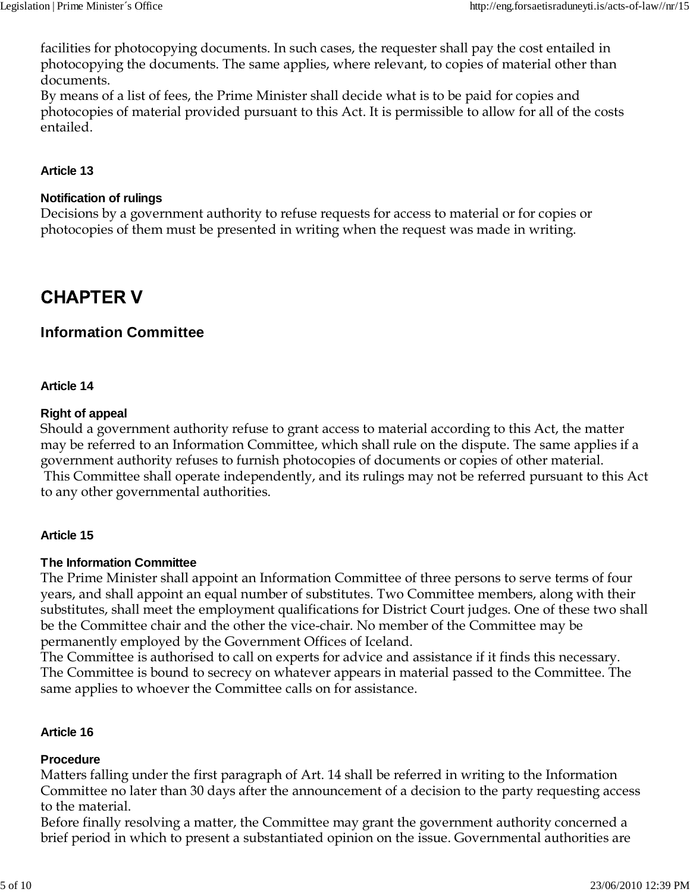facilities for photocopying documents. In such cases, the requester shall pay the cost entailed in photocopying the documents. The same applies, where relevant, to copies of material other than documents.

By means of a list of fees, the Prime Minister shall decide what is to be paid for copies and photocopies of material provided pursuant to this Act. It is permissible to allow for all of the costs entailed.

### **Article 13**

#### **Notification of rulings**

Decisions by a government authority to refuse requests for access to material or for copies or photocopies of them must be presented in writing when the request was made in writing.

# **CHAPTER V**

# **Information Committee**

#### **Article 14**

#### **Right of appeal**

Should a government authority refuse to grant access to material according to this Act, the matter may be referred to an Information Committee, which shall rule on the dispute. The same applies if a government authority refuses to furnish photocopies of documents or copies of other material. This Committee shall operate independently, and its rulings may not be referred pursuant to this Act to any other governmental authorities.

#### **Article 15**

#### **The Information Committee**

The Prime Minister shall appoint an Information Committee of three persons to serve terms of four years, and shall appoint an equal number of substitutes. Two Committee members, along with their substitutes, shall meet the employment qualifications for District Court judges. One of these two shall be the Committee chair and the other the vice-chair. No member of the Committee may be permanently employed by the Government Offices of Iceland.

The Committee is authorised to call on experts for advice and assistance if it finds this necessary. The Committee is bound to secrecy on whatever appears in material passed to the Committee. The same applies to whoever the Committee calls on for assistance.

#### **Article 16**

#### **Procedure**

Matters falling under the first paragraph of Art. 14 shall be referred in writing to the Information Committee no later than 30 days after the announcement of a decision to the party requesting access to the material.

Before finally resolving a matter, the Committee may grant the government authority concerned a brief period in which to present a substantiated opinion on the issue. Governmental authorities are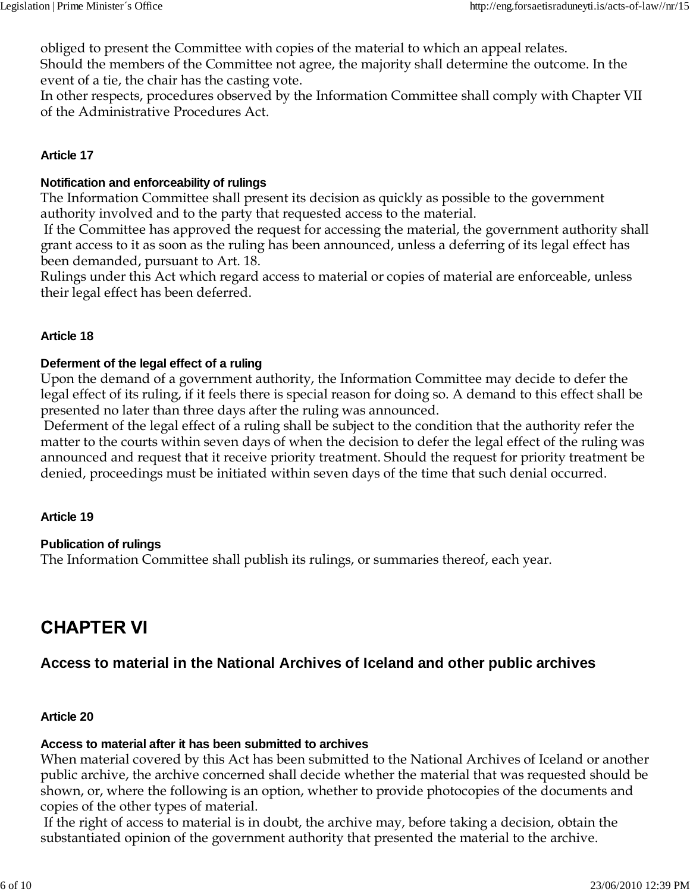obliged to present the Committee with copies of the material to which an appeal relates. Should the members of the Committee not agree, the majority shall determine the outcome. In the event of a tie, the chair has the casting vote.

In other respects, procedures observed by the Information Committee shall comply with Chapter VII of the Administrative Procedures Act.

#### **Article 17**

#### **Notification and enforceability of rulings**

The Information Committee shall present its decision as quickly as possible to the government authority involved and to the party that requested access to the material.

 If the Committee has approved the request for accessing the material, the government authority shall grant access to it as soon as the ruling has been announced, unless a deferring of its legal effect has been demanded, pursuant to Art. 18.

Rulings under this Act which regard access to material or copies of material are enforceable, unless their legal effect has been deferred.

#### **Article 18**

#### **Deferment of the legal effect of a ruling**

Upon the demand of a government authority, the Information Committee may decide to defer the legal effect of its ruling, if it feels there is special reason for doing so. A demand to this effect shall be presented no later than three days after the ruling was announced.

 Deferment of the legal effect of a ruling shall be subject to the condition that the authority refer the matter to the courts within seven days of when the decision to defer the legal effect of the ruling was announced and request that it receive priority treatment. Should the request for priority treatment be denied, proceedings must be initiated within seven days of the time that such denial occurred.

#### **Article 19**

#### **Publication of rulings**

The Information Committee shall publish its rulings, or summaries thereof, each year.

# **CHAPTER VI**

## **Access to material in the National Archives of Iceland and other public archives**

#### **Article 20**

# **Access to material after it has been submitted to archives**

When material covered by this Act has been submitted to the National Archives of Iceland or another public archive, the archive concerned shall decide whether the material that was requested should be shown, or, where the following is an option, whether to provide photocopies of the documents and copies of the other types of material.

 If the right of access to material is in doubt, the archive may, before taking a decision, obtain the substantiated opinion of the government authority that presented the material to the archive.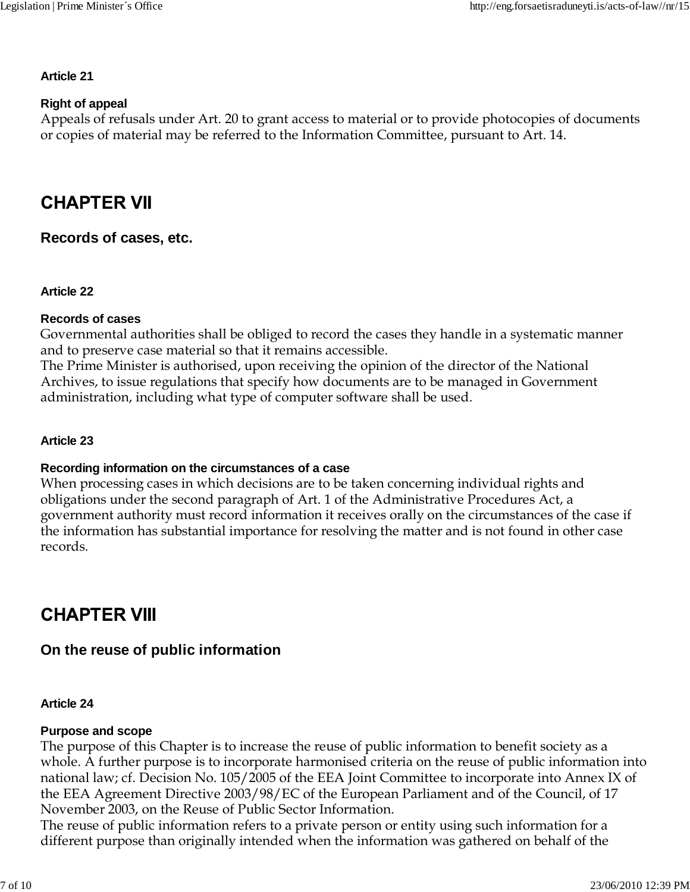#### **Article 21**

#### **Right of appeal**

Appeals of refusals under Art. 20 to grant access to material or to provide photocopies of documents or copies of material may be referred to the Information Committee, pursuant to Art. 14.

# **CHAPTER VII**

**Records of cases, etc.**

#### **Article 22**

#### **Records of cases**

Governmental authorities shall be obliged to record the cases they handle in a systematic manner and to preserve case material so that it remains accessible.

The Prime Minister is authorised, upon receiving the opinion of the director of the National Archives, to issue regulations that specify how documents are to be managed in Government administration, including what type of computer software shall be used.

#### **Article 23**

## **Recording information on the circumstances of a case**

When processing cases in which decisions are to be taken concerning individual rights and obligations under the second paragraph of Art. 1 of the Administrative Procedures Act, a government authority must record information it receives orally on the circumstances of the case if the information has substantial importance for resolving the matter and is not found in other case records.

# **CHAPTER VIII**

# **On the reuse of public information**

#### **Article 24**

#### **Purpose and scope**

The purpose of this Chapter is to increase the reuse of public information to benefit society as a whole. A further purpose is to incorporate harmonised criteria on the reuse of public information into national law; cf. Decision No. 105/2005 of the EEA Joint Committee to incorporate into Annex IX of the EEA Agreement Directive 2003/98/EC of the European Parliament and of the Council, of 17 November 2003, on the Reuse of Public Sector Information.

The reuse of public information refers to a private person or entity using such information for a different purpose than originally intended when the information was gathered on behalf of the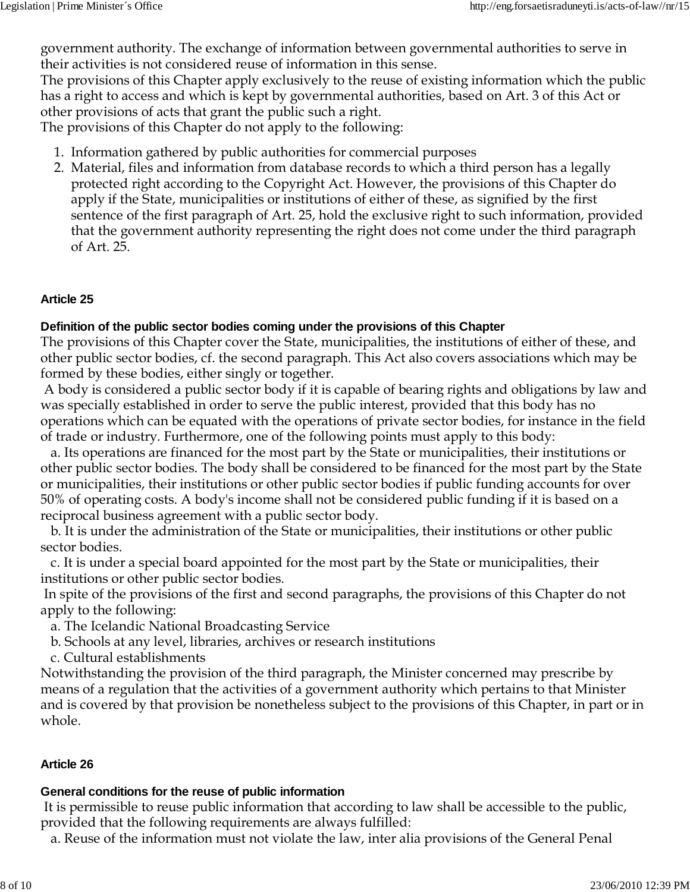government authority. The exchange of information between governmental authorities to serve in their activities is not considered reuse of information in this sense.

The provisions of this Chapter apply exclusively to the reuse of existing information which the public has a right to access and which is kept by governmental authorities, based on Art. 3 of this Act or other provisions of acts that grant the public such a right.

The provisions of this Chapter do not apply to the following:

- 1. Information gathered by public authorities for commercial purposes
- Material, files and information from database records to which a third person has a legally 2. protected right according to the Copyright Act. However, the provisions of this Chapter do apply if the State, municipalities or institutions of either of these, as signified by the first sentence of the first paragraph of Art. 25, hold the exclusive right to such information, provided that the government authority representing the right does not come under the third paragraph of Art. 25.

## **Article 25**

## **Definition of the public sector bodies coming under the provisions of this Chapter**

The provisions of this Chapter cover the State, municipalities, the institutions of either of these, and other public sector bodies, cf. the second paragraph. This Act also covers associations which may be formed by these bodies, either singly or together.

 A body is considered a public sector body if it is capable of bearing rights and obligations by law and was specially established in order to serve the public interest, provided that this body has no operations which can be equated with the operations of private sector bodies, for instance in the field of trade or industry. Furthermore, one of the following points must apply to this body:

 a. Its operations are financed for the most part by the State or municipalities, their institutions or other public sector bodies. The body shall be considered to be financed for the most part by the State or municipalities, their institutions or other public sector bodies if public funding accounts for over 50% of operating costs. A body's income shall not be considered public funding if it is based on a reciprocal business agreement with a public sector body.

 b. It is under the administration of the State or municipalities, their institutions or other public sector bodies.

 c. It is under a special board appointed for the most part by the State or municipalities, their institutions or other public sector bodies.

 In spite of the provisions of the first and second paragraphs, the provisions of this Chapter do not apply to the following:

a. The Icelandic National Broadcasting Service

- b. Schools at any level, libraries, archives or research institutions
- c. Cultural establishments

Notwithstanding the provision of the third paragraph, the Minister concerned may prescribe by means of a regulation that the activities of a government authority which pertains to that Minister and is covered by that provision be nonetheless subject to the provisions of this Chapter, in part or in whole.

## **Article 26**

## **General conditions for the reuse of public information**

 It is permissible to reuse public information that according to law shall be accessible to the public, provided that the following requirements are always fulfilled:

a. Reuse of the information must not violate the law, inter alia provisions of the General Penal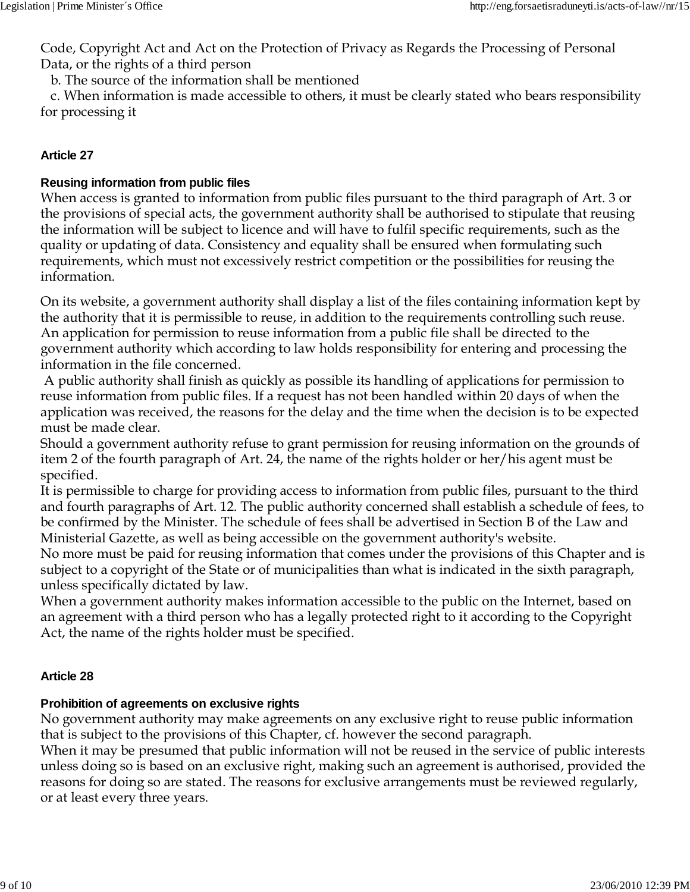Code, Copyright Act and Act on the Protection of Privacy as Regards the Processing of Personal Data, or the rights of a third person

b. The source of the information shall be mentioned

 c. When information is made accessible to others, it must be clearly stated who bears responsibility for processing it

### **Article 27**

## **Reusing information from public files**

When access is granted to information from public files pursuant to the third paragraph of Art. 3 or the provisions of special acts, the government authority shall be authorised to stipulate that reusing the information will be subject to licence and will have to fulfil specific requirements, such as the quality or updating of data. Consistency and equality shall be ensured when formulating such requirements, which must not excessively restrict competition or the possibilities for reusing the information.

On its website, a government authority shall display a list of the files containing information kept by the authority that it is permissible to reuse, in addition to the requirements controlling such reuse. An application for permission to reuse information from a public file shall be directed to the government authority which according to law holds responsibility for entering and processing the information in the file concerned.

 A public authority shall finish as quickly as possible its handling of applications for permission to reuse information from public files. If a request has not been handled within 20 days of when the application was received, the reasons for the delay and the time when the decision is to be expected must be made clear.

Should a government authority refuse to grant permission for reusing information on the grounds of item 2 of the fourth paragraph of Art. 24, the name of the rights holder or her/his agent must be specified.

It is permissible to charge for providing access to information from public files, pursuant to the third and fourth paragraphs of Art. 12. The public authority concerned shall establish a schedule of fees, to be confirmed by the Minister. The schedule of fees shall be advertised in Section B of the Law and Ministerial Gazette, as well as being accessible on the government authority's website.

No more must be paid for reusing information that comes under the provisions of this Chapter and is subject to a copyright of the State or of municipalities than what is indicated in the sixth paragraph, unless specifically dictated by law.

When a government authority makes information accessible to the public on the Internet, based on an agreement with a third person who has a legally protected right to it according to the Copyright Act, the name of the rights holder must be specified.

## **Article 28**

# **Prohibition of agreements on exclusive rights**

No government authority may make agreements on any exclusive right to reuse public information that is subject to the provisions of this Chapter, cf. however the second paragraph.

When it may be presumed that public information will not be reused in the service of public interests unless doing so is based on an exclusive right, making such an agreement is authorised, provided the reasons for doing so are stated. The reasons for exclusive arrangements must be reviewed regularly, or at least every three years.